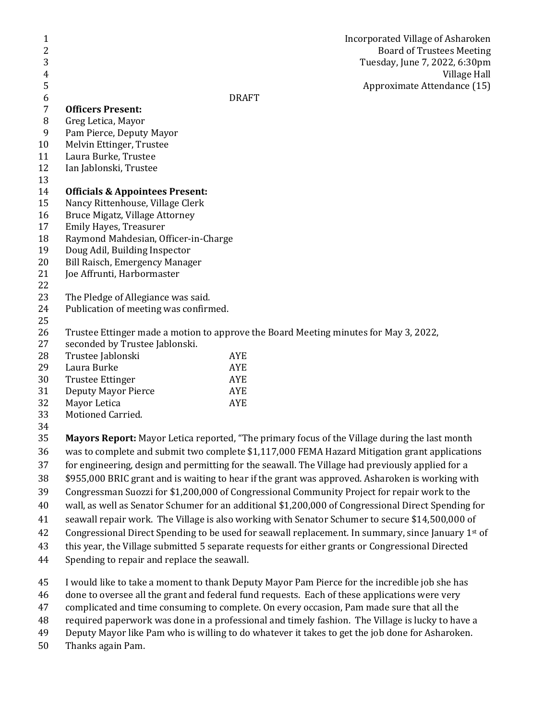| 1<br>2<br>3    |                                                                                                     |              | Incorporated Village of Asharoken<br><b>Board of Trustees Meeting</b><br>Tuesday, June 7, 2022, 6:30pm |
|----------------|-----------------------------------------------------------------------------------------------------|--------------|--------------------------------------------------------------------------------------------------------|
| $\overline{4}$ |                                                                                                     |              | Village Hall                                                                                           |
| 5              |                                                                                                     |              | Approximate Attendance (15)                                                                            |
| 6              |                                                                                                     | <b>DRAFT</b> |                                                                                                        |
| $\overline{7}$ | <b>Officers Present:</b>                                                                            |              |                                                                                                        |
| $\, 8$         | Greg Letica, Mayor                                                                                  |              |                                                                                                        |
| 9              | Pam Pierce, Deputy Mayor                                                                            |              |                                                                                                        |
| 10             | Melvin Ettinger, Trustee                                                                            |              |                                                                                                        |
| 11             | Laura Burke, Trustee                                                                                |              |                                                                                                        |
| 12<br>13       | Ian Jablonski, Trustee                                                                              |              |                                                                                                        |
| 14             | <b>Officials &amp; Appointees Present:</b>                                                          |              |                                                                                                        |
| 15             | Nancy Rittenhouse, Village Clerk                                                                    |              |                                                                                                        |
| 16             | Bruce Migatz, Village Attorney                                                                      |              |                                                                                                        |
| 17             | Emily Hayes, Treasurer                                                                              |              |                                                                                                        |
| 18             | Raymond Mahdesian, Officer-in-Charge                                                                |              |                                                                                                        |
| 19             | Doug Adil, Building Inspector                                                                       |              |                                                                                                        |
| 20             | Bill Raisch, Emergency Manager                                                                      |              |                                                                                                        |
| 21             | Joe Affrunti, Harbormaster                                                                          |              |                                                                                                        |
| 22             |                                                                                                     |              |                                                                                                        |
| 23             | The Pledge of Allegiance was said.                                                                  |              |                                                                                                        |
| 24<br>25       | Publication of meeting was confirmed.                                                               |              |                                                                                                        |
| 26             | Trustee Ettinger made a motion to approve the Board Meeting minutes for May 3, 2022,                |              |                                                                                                        |
| 27             | seconded by Trustee Jablonski.                                                                      |              |                                                                                                        |
| 28             | Trustee Jablonski                                                                                   | AYE          |                                                                                                        |
| 29             | Laura Burke                                                                                         | <b>AYE</b>   |                                                                                                        |
| 30             | <b>Trustee Ettinger</b>                                                                             | <b>AYE</b>   |                                                                                                        |
| 31             | <b>Deputy Mayor Pierce</b>                                                                          | <b>AYE</b>   |                                                                                                        |
| 32             | Mayor Letica                                                                                        | <b>AYE</b>   |                                                                                                        |
| 33             | Motioned Carried.                                                                                   |              |                                                                                                        |
| 34             |                                                                                                     |              |                                                                                                        |
| 35             | Mayors Report: Mayor Letica reported, "The primary focus of the Village during the last month       |              |                                                                                                        |
| 36             | was to complete and submit two complete \$1,117,000 FEMA Hazard Mitigation grant applications       |              |                                                                                                        |
| 37             | for engineering, design and permitting for the seawall. The Village had previously applied for a    |              |                                                                                                        |
| 38             | \$955,000 BRIC grant and is waiting to hear if the grant was approved. Asharoken is working with    |              |                                                                                                        |
| 39             | Congressman Suozzi for \$1,200,000 of Congressional Community Project for repair work to the        |              |                                                                                                        |
| 40             | wall, as well as Senator Schumer for an additional \$1,200,000 of Congressional Direct Spending for |              |                                                                                                        |
| 41             | seawall repair work. The Village is also working with Senator Schumer to secure \$14,500,000 of     |              |                                                                                                        |
| 42             | Congressional Direct Spending to be used for seawall replacement. In summary, since January 1st of  |              |                                                                                                        |
| 43             | this year, the Village submitted 5 separate requests for either grants or Congressional Directed    |              |                                                                                                        |
| 44             | Spending to repair and replace the seawall.                                                         |              |                                                                                                        |
| 45             | I would like to take a moment to thank Deputy Mayor Pam Pierce for the incredible job she has       |              |                                                                                                        |
| 46             | done to oversee all the grant and federal fund requests. Each of these applications were very       |              |                                                                                                        |
| 47             | complicated and time consuming to complete. On every occasion, Pam made sure that all the           |              |                                                                                                        |
| 48             | required paperwork was done in a professional and timely fashion. The Village is lucky to have a    |              |                                                                                                        |
| 49             | Deputy Mayor like Pam who is willing to do whatever it takes to get the job done for Asharoken.     |              |                                                                                                        |
| 50             | Thanks again Pam.                                                                                   |              |                                                                                                        |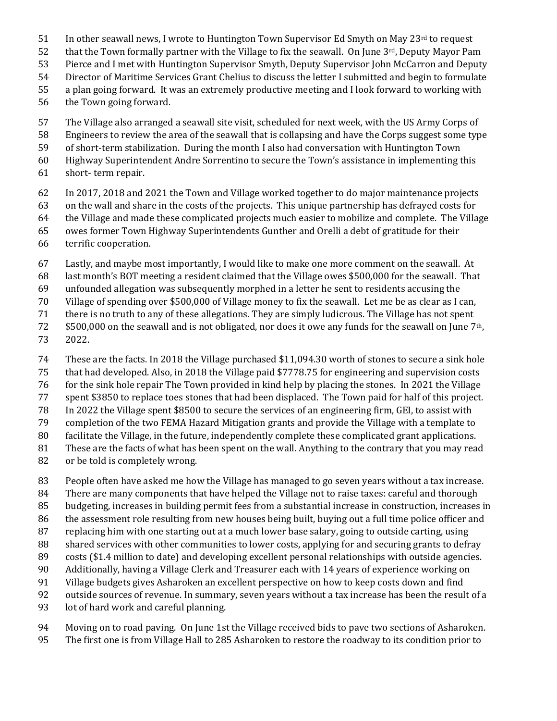- In other seawall news, I wrote to Huntington Town Supervisor Ed Smyth on May  $23<sup>rd</sup>$  to request
- 52 that the Town formally partner with the Village to fix the seawall. On June  $3<sup>rd</sup>$ , Deputy Mayor Pam
- Pierce and I met with Huntington Supervisor Smyth, Deputy Supervisor John McCarron and Deputy
- Director of Maritime Services Grant Chelius to discuss the letter I submitted and begin to formulate
- a plan going forward. It was an extremely productive meeting and I look forward to working with
- the Town going forward.
- The Village also arranged a seawall site visit, scheduled for next week, with the US Army Corps of
- Engineers to review the area of the seawall that is collapsing and have the Corps suggest some type
- of short-term stabilization. During the month I also had conversation with Huntington Town
- Highway Superintendent Andre Sorrentino to secure the Town's assistance in implementing this
- short- term repair.
- In 2017, 2018 and 2021 the Town and Village worked together to do major maintenance projects
- on the wall and share in the costs of the projects. This unique partnership has defrayed costs for
- the Village and made these complicated projects much easier to mobilize and complete. The Village
- owes former Town Highway Superintendents Gunther and Orelli a debt of gratitude for their
- terrific cooperation.
- Lastly, and maybe most importantly, I would like to make one more comment on the seawall. At
- last month's BOT meeting a resident claimed that the Village owes \$500,000 for the seawall. That
- unfounded allegation was subsequently morphed in a letter he sent to residents accusing the
- Village of spending over \$500,000 of Village money to fix the seawall. Let me be as clear as I can,
- there is no truth to any of these allegations. They are simply ludicrous. The Village has not spent
- $5500,000$  on the seawall and is not obligated, nor does it owe any funds for the seawall on June 7<sup>th</sup>,
- 2022.
- These are the facts. In 2018 the Village purchased \$11,094.30 worth of stones to secure a sink hole
- that had developed. Also, in 2018 the Village paid \$7778.75 for engineering and supervision costs
- for the sink hole repair The Town provided in kind help by placing the stones. In 2021 the Village
- spent \$3850 to replace toes stones that had been displaced. The Town paid for half of this project.
- In 2022 the Village spent \$8500 to secure the services of an engineering firm, GEI, to assist with
- completion of the two FEMA Hazard Mitigation grants and provide the Village with a template to
- facilitate the Village, in the future, independently complete these complicated grant applications.
- These are the facts of what has been spent on the wall. Anything to the contrary that you may read
- or be told is completely wrong.
- People often have asked me how the Village has managed to go seven years without a tax increase.
- There are many components that have helped the Village not to raise taxes: careful and thorough
- budgeting, increases in building permit fees from a substantial increase in construction, increases in
- the assessment role resulting from new houses being built, buying out a full time police officer and
- replacing him with one starting out at a much lower base salary, going to outside carting, using
- shared services with other communities to lower costs, applying for and securing grants to defray
- costs (\$1.4 million to date) and developing excellent personal relationships with outside agencies.
- Additionally, having a Village Clerk and Treasurer each with 14 years of experience working on
- Village budgets gives Asharoken an excellent perspective on how to keep costs down and find
- outside sources of revenue. In summary, seven years without a tax increase has been the result of a
- lot of hard work and careful planning.
- Moving on to road paving. On June 1st the Village received bids to pave two sections of Asharoken.
- The first one is from Village Hall to 285 Asharoken to restore the roadway to its condition prior to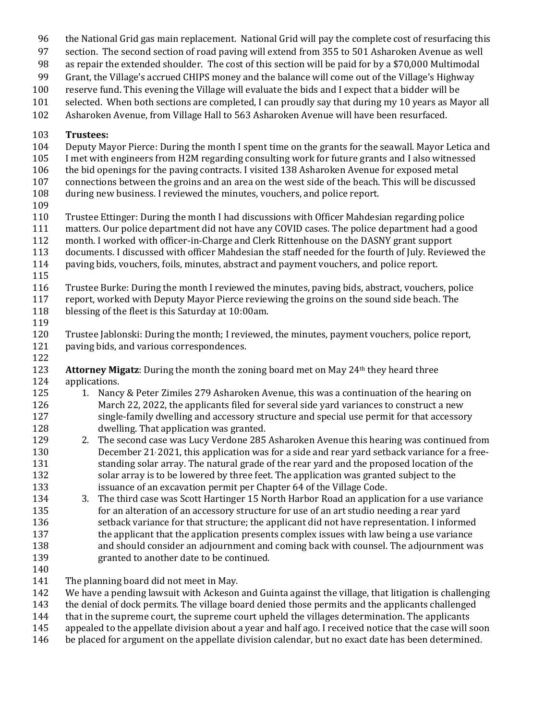- the National Grid gas main replacement. National Grid will pay the complete cost of resurfacing this
- section. The second section of road paving will extend from 355 to 501 Asharoken Avenue as well
- as repair the extended shoulder. The cost of this section will be paid for by a \$70,000 Multimodal
- Grant, the Village's accrued CHIPS money and the balance will come out of the Village's Highway
- reserve fund. This evening the Village will evaluate the bids and I expect that a bidder will be
- selected. When both sections are completed, I can proudly say that during my 10 years as Mayor all
- Asharoken Avenue, from Village Hall to 563 Asharoken Avenue will have been resurfaced.

## **Trustees:**

- Deputy Mayor Pierce: During the month I spent time on the grants for the seawall. Mayor Letica and
- I met with engineers from H2M regarding consulting work for future grants and I also witnessed
- the bid openings for the paving contracts. I visited 138 Asharoken Avenue for exposed metal
- connections between the groins and an area on the west side of the beach. This will be discussed
- during new business. I reviewed the minutes, vouchers, and police report.
- 
- Trustee Ettinger: During the month I had discussions with Officer Mahdesian regarding police
- matters. Our police department did not have any COVID cases. The police department had a good
- month. I worked with officer-in-Charge and Clerk Rittenhouse on the DASNY grant support
- documents. I discussed with officer Mahdesian the staff needed for the fourth of July. Reviewed the paving bids, vouchers, foils, minutes, abstract and payment vouchers, and police report.
- 
- 
- Trustee Burke: During the month I reviewed the minutes, paving bids, abstract, vouchers, police report, worked with Deputy Mayor Pierce reviewing the groins on the sound side beach. The
- blessing of the fleet is this Saturday at 10:00am.
- 

- Trustee Jablonski: During the month; I reviewed, the minutes, payment vouchers, police report, paving bids, and various correspondences.
- **Attorney Migatz**: During the month the zoning board met on May 24<sup>th</sup> they heard three applications.
- 125 1. Nancy & Peter Zimiles 279 Asharoken Avenue, this was a continuation of the hearing on March 22, 2022, the applicants filed for several side yard variances to construct a new single-family dwelling and accessory structure and special use permit for that accessory dwelling. That application was granted.
- 2. The second case was Lucy Verdone 285 Asharoken Avenue this hearing was continued from December 21, 2021, this application was for a side and rear yard setback variance for a free-131 standing solar array. The natural grade of the rear yard and the proposed location of the solar array is to be lowered by three feet. The application was granted subject to the issuance of an excavation permit per Chapter 64 of the Village Code.
- 3. The third case was Scott Hartinger 15 North Harbor Road an application for a use variance for an alteration of an accessory structure for use of an art studio needing a rear yard setback variance for that structure; the applicant did not have representation. I informed 137 the applicant that the application presents complex issues with law being a use variance and should consider an adjournment and coming back with counsel. The adjournment was granted to another date to be continued.
- 
- 141 The planning board did not meet in May.
- We have a pending lawsuit with Ackeson and Guinta against the village, that litigation is challenging
- the denial of dock permits. The village board denied those permits and the applicants challenged
- 144 that in the supreme court, the supreme court upheld the villages determination. The applicants
- appealed to the appellate division about a year and half ago. I received notice that the case will soon
- be placed for argument on the appellate division calendar, but no exact date has been determined.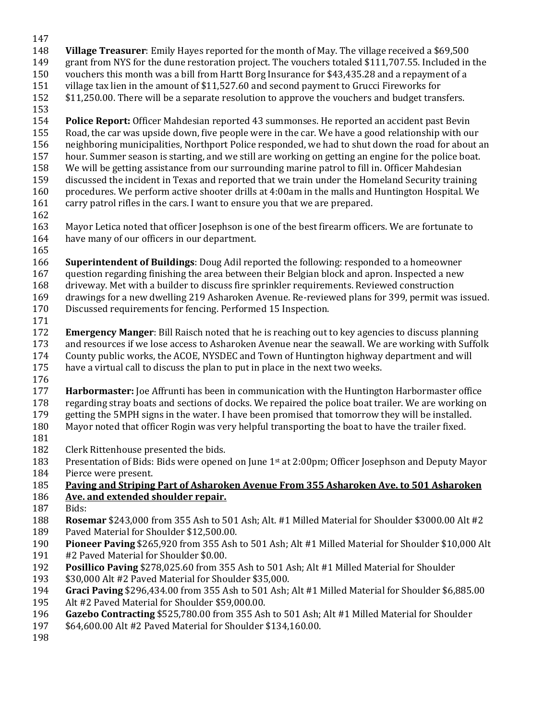- 
- **Village Treasurer**: Emily Hayes reported for the month of May. The village received a \$69,500
- grant from NYS for the dune restoration project. The vouchers totaled \$111,707.55. Included in the
- vouchers this month was a bill from Hartt Borg Insurance for \$43,435.28 and a repayment of a
- village tax lien in the amount of \$11,527.60 and second payment to Grucci Fireworks for
- \$11,250.00. There will be a separate resolution to approve the vouchers and budget transfers.
- 
- **Police Report:** Officer Mahdesian reported 43 summonses. He reported an accident past Bevin Road, the car was upside down, five people were in the car. We have a good relationship with our neighboring municipalities, Northport Police responded, we had to shut down the road for about an hour. Summer season is starting, and we still are working on getting an engine for the police boat. We will be getting assistance from our surrounding marine patrol to fill in. Officer Mahdesian discussed the incident in Texas and reported that we train under the Homeland Security training procedures. We perform active shooter drills at 4:00am in the malls and Huntington Hospital. We
- carry patrol rifles in the cars. I want to ensure you that we are prepared.
- 
- Mayor Letica noted that officer Josephson is one of the best firearm officers. We are fortunate to have many of our officers in our department.
- 

 **Superintendent of Buildings**: Doug Adil reported the following: responded to a homeowner question regarding finishing the area between their Belgian block and apron. Inspected a new

- driveway. Met with a builder to discuss fire sprinkler requirements. Reviewed construction
- drawings for a new dwelling 219 Asharoken Avenue. Re-reviewed plans for 399, permit was issued. Discussed requirements for fencing. Performed 15 Inspection.
- 
- **Emergency Manger**: Bill Raisch noted that he is reaching out to key agencies to discuss planning and resources if we lose access to Asharoken Avenue near the seawall. We are working with Suffolk
- County public works, the ACOE, NYSDEC and Town of Huntington highway department and will
- have a virtual call to discuss the plan to put in place in the next two weeks.
- 
- **Harbormaster:** Joe Affrunti has been in communication with the Huntington Harbormaster office regarding stray boats and sections of docks. We repaired the police boat trailer. We are working on
- getting the 5MPH signs in the water. I have been promised that tomorrow they will be installed.
- Mayor noted that officer Rogin was very helpful transporting the boat to have the trailer fixed.
- 
- Clerk Rittenhouse presented the bids.
- Presentation of Bids: Bids were opened on June 1st at 2:00pm; Officer Josephson and Deputy Mayor
- Pierce were present.

## **Paving and Striping Part of Asharoken Avenue From 355 Asharoken Ave. to 501 Asharoken**

- **Ave. and extended shoulder repair.**
- Bids:
- **Rosemar** \$243,000 from 355 Ash to 501 Ash; Alt. #1 Milled Material for Shoulder \$3000.00 Alt #2
- Paved Material for Shoulder \$12,500.00.
- **Pioneer Paving** \$265,920 from 355 Ash to 501 Ash; Alt #1 Milled Material for Shoulder \$10,000 Alt #2 Paved Material for Shoulder \$0.00.
- **Posillico Paving** \$278,025.60 from 355 Ash to 501 Ash; Alt #1 Milled Material for Shoulder
- \$30,000 Alt #2 Paved Material for Shoulder \$35,000.
- **Graci Paving** \$296,434.00 from 355 Ash to 501 Ash; Alt #1 Milled Material for Shoulder \$6,885.00
- Alt #2 Paved Material for Shoulder \$59,000.00.
- **Gazebo Contracting** \$525,780.00 from 355 Ash to 501 Ash; Alt #1 Milled Material for Shoulder
- \$64,600.00 Alt #2 Paved Material for Shoulder \$134,160.00.
-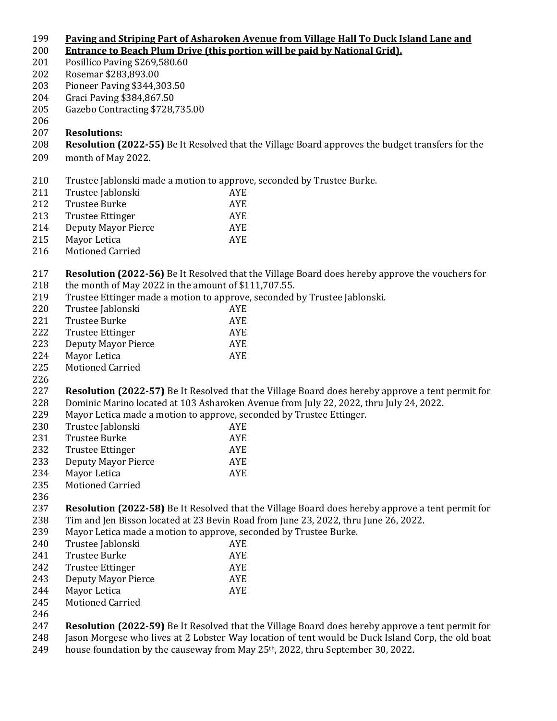## **Paving and Striping Part of Asharoken Avenue from Village Hall To Duck Island Lane and**

- **Entrance to Beach Plum Drive (this portion will be paid by National Grid).**
- Posillico Paving \$269,580.60
- Rosemar \$283,893.00
- Pioneer Paving \$344,303.50
- Graci Paving \$384,867.50
- Gazebo Contracting \$728,735.00
- 
- **Resolutions:**
- **Resolution (2022-55)** Be It Resolved that the Village Board approves the budget transfers for the
- month of May 2022.
- Trustee Jablonski made a motion to approve, seconded by Trustee Burke.
- Trustee Jablonski AYE
- Trustee Burke AYE
- 213 Trustee Ettinger AYE
- Deputy Mayor Pierce AYE Mayor Letica AYE
- 
- Motioned Carried
- **Resolution (2022-56)** Be It Resolved that the Village Board does hereby approve the vouchers for 218 the month of May 2022 in the amount of \$111,707.55.
- Trustee Ettinger made a motion to approve, seconded by Trustee Jablonski.
- Trustee Jablonski AYE Trustee Burke AYE 222 Trustee Ettinger AYE
- Deputy Mayor Pierce AYE 224 Mayor Letica AYE
- Motioned Carried
- 
- **Resolution (2022-57)** Be It Resolved that the Village Board does hereby approve a tent permit for Dominic Marino located at 103 Asharoken Avenue from July 22, 2022, thru July 24, 2022.
- Mayor Letica made a motion to approve, seconded by Trustee Ettinger.
- Trustee Jablonski AYE Trustee Burke AYE
- 232 Trustee Ettinger AYE
- Deputy Mayor Pierce AYE
- 234 Mayor Letica AYE
- Motioned Carried
- 
- **Resolution (2022-58)** Be It Resolved that the Village Board does hereby approve a tent permit for Tim and Jen Bisson located at 23 Bevin Road from June 23, 2022, thru June 26, 2022.
- Mayor Letica made a motion to approve, seconded by Trustee Burke.
- Trustee Jablonski AYE Trustee Burke AYE 242 Trustee Ettinger AYE Deputy Mayor Pierce AYE Mayor Letica AYE Motioned Carried
- 
- **Resolution (2022-59)** Be It Resolved that the Village Board does hereby approve a tent permit for Jason Morgese who lives at 2 Lobster Way location of tent would be Duck Island Corp, the old boat
- 249 house foundation by the causeway from May  $25<sup>th</sup>$ , 2022, thru September 30, 2022.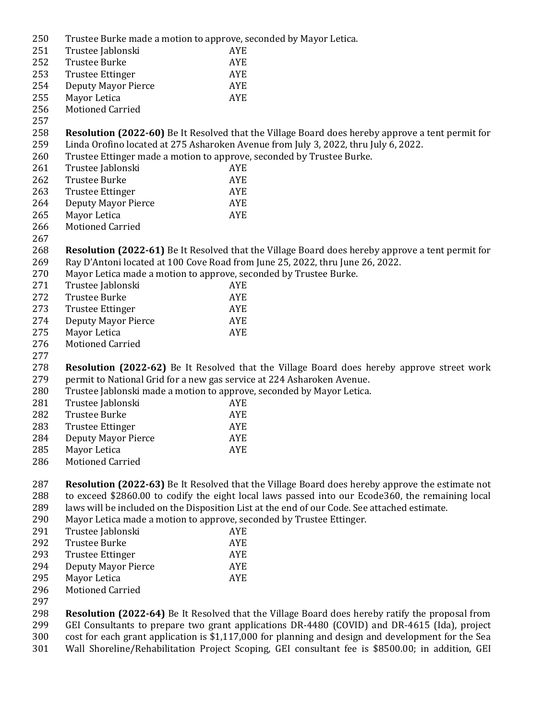| 250<br>Trustee Burke made a motion to approve, seconded by Mayor Letica. |  |
|--------------------------------------------------------------------------|--|
|--------------------------------------------------------------------------|--|

| 25U | Trustée Burke made à motion to approve, seconded by Mayor Letica.                                                                                                    |                                                                                                         |  |
|-----|----------------------------------------------------------------------------------------------------------------------------------------------------------------------|---------------------------------------------------------------------------------------------------------|--|
| 251 | Trustee Jablonski                                                                                                                                                    | <b>AYE</b>                                                                                              |  |
| 252 | <b>Trustee Burke</b>                                                                                                                                                 | <b>AYE</b>                                                                                              |  |
| 253 | <b>Trustee Ettinger</b>                                                                                                                                              | <b>AYE</b>                                                                                              |  |
| 254 | <b>Deputy Mayor Pierce</b>                                                                                                                                           | AYE                                                                                                     |  |
| 255 | Mayor Letica                                                                                                                                                         | <b>AYE</b>                                                                                              |  |
| 256 | <b>Motioned Carried</b>                                                                                                                                              |                                                                                                         |  |
| 257 |                                                                                                                                                                      |                                                                                                         |  |
| 258 |                                                                                                                                                                      | <b>Resolution (2022-60)</b> Be It Resolved that the Village Board does hereby approve a tent permit for |  |
| 259 |                                                                                                                                                                      | Linda Orofino located at 275 Asharoken Avenue from July 3, 2022, thru July 6, 2022.                     |  |
| 260 | Trustee Ettinger made a motion to approve, seconded by Trustee Burke.                                                                                                |                                                                                                         |  |
| 261 | Trustee Jablonski                                                                                                                                                    | <b>AYE</b>                                                                                              |  |
| 262 | <b>Trustee Burke</b>                                                                                                                                                 | <b>AYE</b>                                                                                              |  |
| 263 | <b>Trustee Ettinger</b>                                                                                                                                              | <b>AYE</b>                                                                                              |  |
| 264 | <b>Deputy Mayor Pierce</b>                                                                                                                                           | <b>AYE</b>                                                                                              |  |
| 265 | Mayor Letica                                                                                                                                                         | <b>AYE</b>                                                                                              |  |
| 266 | <b>Motioned Carried</b>                                                                                                                                              |                                                                                                         |  |
| 267 |                                                                                                                                                                      |                                                                                                         |  |
| 268 |                                                                                                                                                                      | <b>Resolution (2022-61)</b> Be It Resolved that the Village Board does hereby approve a tent permit for |  |
| 269 |                                                                                                                                                                      | Ray D'Antoni located at 100 Cove Road from June 25, 2022, thru June 26, 2022.                           |  |
| 270 |                                                                                                                                                                      |                                                                                                         |  |
|     | Mayor Letica made a motion to approve, seconded by Trustee Burke.<br>Trustee Jablonski                                                                               |                                                                                                         |  |
| 271 |                                                                                                                                                                      | <b>AYE</b>                                                                                              |  |
| 272 | <b>Trustee Burke</b>                                                                                                                                                 | <b>AYE</b>                                                                                              |  |
| 273 | <b>Trustee Ettinger</b>                                                                                                                                              | <b>AYE</b>                                                                                              |  |
| 274 | <b>Deputy Mayor Pierce</b>                                                                                                                                           | AYE                                                                                                     |  |
| 275 | Mayor Letica                                                                                                                                                         | <b>AYE</b>                                                                                              |  |
| 276 | <b>Motioned Carried</b>                                                                                                                                              |                                                                                                         |  |
| 277 |                                                                                                                                                                      |                                                                                                         |  |
| 278 |                                                                                                                                                                      | Resolution (2022-62) Be It Resolved that the Village Board does hereby approve street work              |  |
| 279 | permit to National Grid for a new gas service at 224 Asharoken Avenue.                                                                                               |                                                                                                         |  |
| 280 | Trustee Jablonski made a motion to approve, seconded by Mayor Letica.                                                                                                |                                                                                                         |  |
| 281 | Trustee Jablonski                                                                                                                                                    | <b>AYE</b>                                                                                              |  |
| 282 | <b>Trustee Burke</b>                                                                                                                                                 | AYE                                                                                                     |  |
| 283 | <b>Trustee Ettinger</b>                                                                                                                                              | <b>AYE</b>                                                                                              |  |
| 284 | <b>Deputy Mayor Pierce</b>                                                                                                                                           | <b>AYE</b>                                                                                              |  |
| 285 | Mayor Letica                                                                                                                                                         | AYE                                                                                                     |  |
| 286 | <b>Motioned Carried</b>                                                                                                                                              |                                                                                                         |  |
|     |                                                                                                                                                                      |                                                                                                         |  |
| 287 |                                                                                                                                                                      | <b>Resolution (2022-63)</b> Be It Resolved that the Village Board does hereby approve the estimate not  |  |
| 288 | to exceed \$2860.00 to codify the eight local laws passed into our Ecode360, the remaining local                                                                     |                                                                                                         |  |
| 289 | laws will be included on the Disposition List at the end of our Code. See attached estimate.<br>Mayor Letica made a motion to approve, seconded by Trustee Ettinger. |                                                                                                         |  |
| 290 |                                                                                                                                                                      |                                                                                                         |  |
| 291 | Trustee Jablonski                                                                                                                                                    | <b>AYE</b>                                                                                              |  |
| 292 | <b>Trustee Burke</b>                                                                                                                                                 | <b>AYE</b>                                                                                              |  |
| 293 | <b>Trustee Ettinger</b>                                                                                                                                              | <b>AYE</b>                                                                                              |  |
| 294 | <b>Deputy Mayor Pierce</b>                                                                                                                                           | <b>AYE</b>                                                                                              |  |
| 295 | Mayor Letica                                                                                                                                                         | <b>AYE</b>                                                                                              |  |
| 296 | <b>Motioned Carried</b>                                                                                                                                              |                                                                                                         |  |
| 297 |                                                                                                                                                                      |                                                                                                         |  |

 **Resolution (2022-64)** Be It Resolved that the Village Board does hereby ratify the proposal from GEI Consultants to prepare two grant applications DR-4480 (COVID) and DR-4615 (Ida), project cost for each grant application is \$1,117,000 for planning and design and development for the Sea Wall Shoreline/Rehabilitation Project Scoping, GEI consultant fee is \$8500.00; in addition, GEI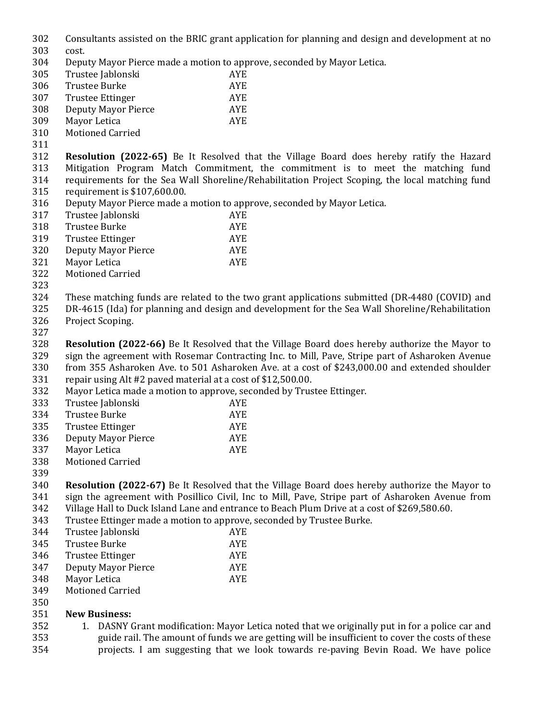| 302 |  |  | Consultants assisted on the BRIC grant application for planning and design and development at no |  |  |  |
|-----|--|--|--------------------------------------------------------------------------------------------------|--|--|--|
|-----|--|--|--------------------------------------------------------------------------------------------------|--|--|--|

- cost.
- Deputy Mayor Pierce made a motion to approve, seconded by Mayor Letica.
- Trustee Jablonski AYE Trustee Burke AYE Trustee Ettinger AYE
- Deputy Mayor Pierce AYE
- Mayor Letica AYE
- Motioned Carried
- 
- **Resolution (2022-65)** Be It Resolved that the Village Board does hereby ratify the Hazard Mitigation Program Match Commitment, the commitment is to meet the matching fund requirements for the Sea Wall Shoreline/Rehabilitation Project Scoping, the local matching fund requirement is \$107,600.00.
- Deputy Mayor Pierce made a motion to approve, seconded by Mayor Letica.
- Trustee Jablonski AYE
- Trustee Burke AYE
- Trustee Ettinger AYE
- Deputy Mayor Pierce AYE
- Mayor Letica AYE
- Motioned Carried
- 
- These matching funds are related to the two grant applications submitted (DR-4480 (COVID) and
- DR-4615 (Ida) for planning and design and development for the Sea Wall Shoreline/Rehabilitation Project Scoping.
- 

 **Resolution (2022-66)** Be It Resolved that the Village Board does hereby authorize the Mayor to sign the agreement with Rosemar Contracting Inc. to Mill, Pave, Stripe part of Asharoken Avenue from 355 Asharoken Ave. to 501 Asharoken Ave. at a cost of \$243,000.00 and extended shoulder

- repair using Alt #2 paved material at a cost of \$12,500.00.
- Mayor Letica made a motion to approve, seconded by Trustee Ettinger.

| 333 | Trustee Jablonski   | AYE. |
|-----|---------------------|------|
| 334 | Trustee Burke       | AYE. |
| 335 | Trustee Ettinger    | AYE. |
| 336 | Deputy Mayor Pierce | AYE. |

- 337 Mayor Letica AYE
- Motioned Carried
- 

 **Resolution (2022-67)** Be It Resolved that the Village Board does hereby authorize the Mayor to sign the agreement with Posillico Civil, Inc to Mill, Pave, Stripe part of Asharoken Avenue from Village Hall to Duck Island Lane and entrance to Beach Plum Drive at a cost of \$269,580.60.

Trustee Ettinger made a motion to approve, seconded by Trustee Burke.

| 344 | Trustee Jablonski       | AYE.       |
|-----|-------------------------|------------|
| 345 | Trustee Burke           | AYE.       |
| 346 | <b>Trustee Ettinger</b> | <b>AYE</b> |
| 347 | Deputy Mayor Pierce     | AYE.       |
| 348 | Mayor Letica            | AYE.       |
| 349 | Motioned Carried        |            |

 Motioned Carried 

## **New Business:**

 1. DASNY Grant modification: Mayor Letica noted that we originally put in for a police car and guide rail. The amount of funds we are getting will be insufficient to cover the costs of these projects. I am suggesting that we look towards re-paving Bevin Road. We have police